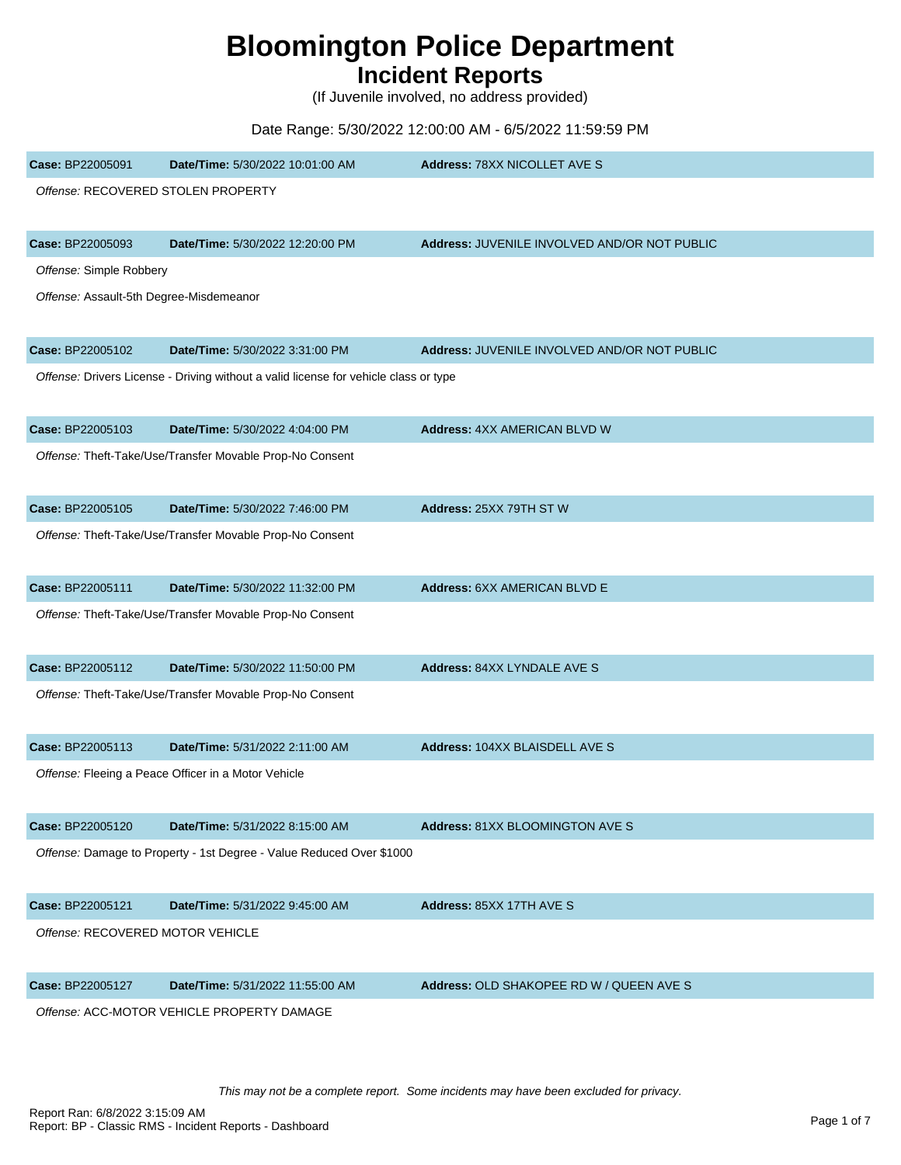## **Bloomington Police Department**

## **Incident Reports**

(If Juvenile involved, no address provided)

## Date Range: 5/30/2022 12:00:00 AM - 6/5/2022 11:59:59 PM

| Case: BP22005091                           | Date/Time: 5/30/2022 10:01:00 AM                                                     | Address: 78XX NICOLLET AVE S                 |
|--------------------------------------------|--------------------------------------------------------------------------------------|----------------------------------------------|
| Offense: RECOVERED STOLEN PROPERTY         |                                                                                      |                                              |
|                                            |                                                                                      |                                              |
| Case: BP22005093                           | Date/Time: 5/30/2022 12:20:00 PM                                                     | Address: JUVENILE INVOLVED AND/OR NOT PUBLIC |
| Offense: Simple Robbery                    |                                                                                      |                                              |
| Offense: Assault-5th Degree-Misdemeanor    |                                                                                      |                                              |
| Case: BP22005102                           | Date/Time: 5/30/2022 3:31:00 PM                                                      | Address: JUVENILE INVOLVED AND/OR NOT PUBLIC |
|                                            | Offense: Drivers License - Driving without a valid license for vehicle class or type |                                              |
| Case: BP22005103                           | Date/Time: 5/30/2022 4:04:00 PM                                                      | <b>Address: 4XX AMERICAN BLVD W</b>          |
|                                            | Offense: Theft-Take/Use/Transfer Movable Prop-No Consent                             |                                              |
| Case: BP22005105                           | Date/Time: 5/30/2022 7:46:00 PM                                                      | Address: 25XX 79TH ST W                      |
|                                            | Offense: Theft-Take/Use/Transfer Movable Prop-No Consent                             |                                              |
| Case: BP22005111                           | Date/Time: 5/30/2022 11:32:00 PM                                                     | Address: 6XX AMERICAN BLVD E                 |
|                                            | Offense: Theft-Take/Use/Transfer Movable Prop-No Consent                             |                                              |
| Case: BP22005112                           | Date/Time: 5/30/2022 11:50:00 PM                                                     | Address: 84XX LYNDALE AVE S                  |
|                                            | Offense: Theft-Take/Use/Transfer Movable Prop-No Consent                             |                                              |
| Case: BP22005113                           | Date/Time: 5/31/2022 2:11:00 AM                                                      | Address: 104XX BLAISDELL AVE S               |
|                                            | Offense: Fleeing a Peace Officer in a Motor Vehicle                                  |                                              |
| Case: BP22005120                           | Date/Time: 5/31/2022 8:15:00 AM                                                      | Address: 81XX BLOOMINGTON AVE S              |
|                                            | Offense: Damage to Property - 1st Degree - Value Reduced Over \$1000                 |                                              |
| Case: BP22005121                           | Date/Time: 5/31/2022 9:45:00 AM                                                      | Address: 85XX 17TH AVE S                     |
| Offense: RECOVERED MOTOR VEHICLE           |                                                                                      |                                              |
| Case: BP22005127                           | Date/Time: 5/31/2022 11:55:00 AM                                                     | Address: OLD SHAKOPEE RD W / QUEEN AVE S     |
| Offense: ACC-MOTOR VEHICLE PROPERTY DAMAGE |                                                                                      |                                              |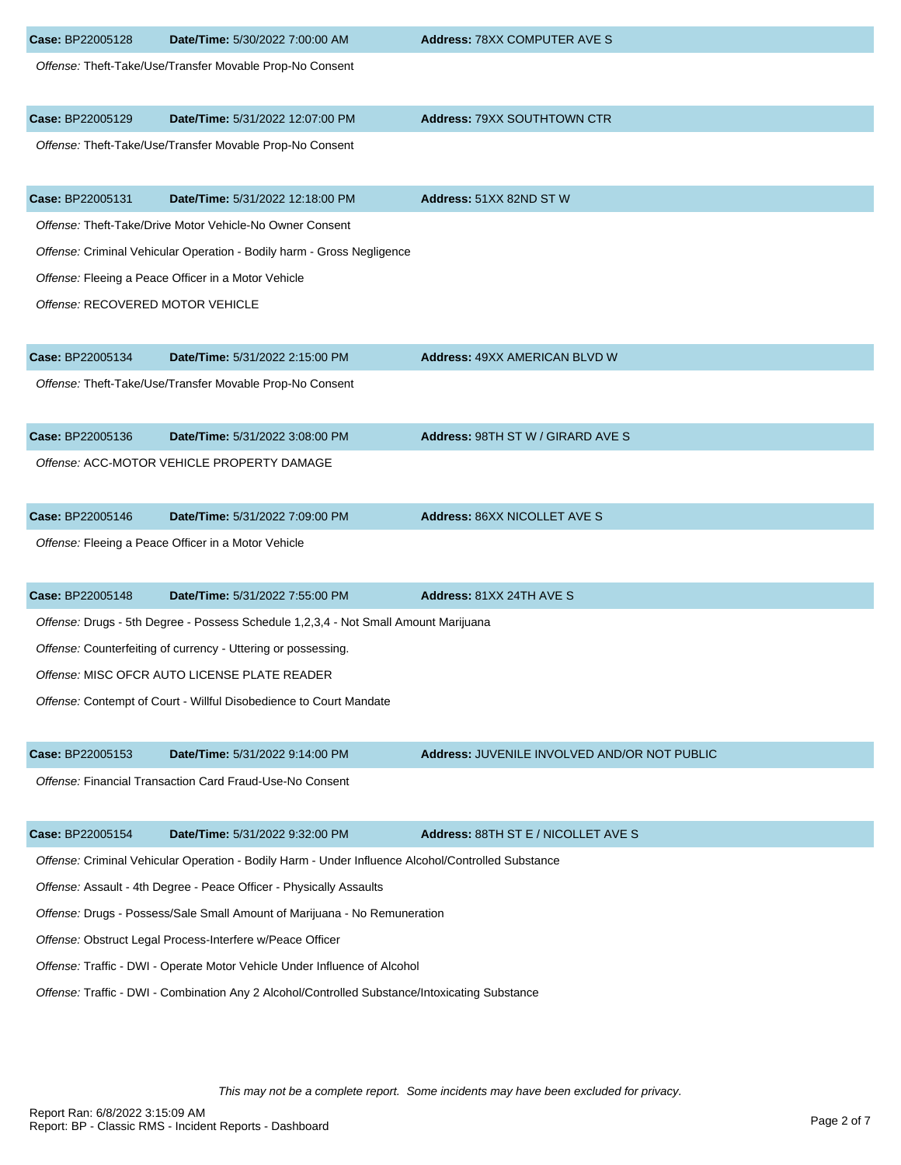| Case: BP22005128                                                                                   | Date/Time: 5/30/2022 7:00:00 AM                                                     | <b>Address: 78XX COMPUTER AVE S</b>          |
|----------------------------------------------------------------------------------------------------|-------------------------------------------------------------------------------------|----------------------------------------------|
|                                                                                                    | Offense: Theft-Take/Use/Transfer Movable Prop-No Consent                            |                                              |
| Case: BP22005129                                                                                   | Date/Time: 5/31/2022 12:07:00 PM                                                    | Address: 79XX SOUTHTOWN CTR                  |
|                                                                                                    | Offense: Theft-Take/Use/Transfer Movable Prop-No Consent                            |                                              |
| Case: BP22005131                                                                                   | Date/Time: 5/31/2022 12:18:00 PM                                                    | Address: 51XX 82ND ST W                      |
|                                                                                                    | Offense: Theft-Take/Drive Motor Vehicle-No Owner Consent                            |                                              |
|                                                                                                    | Offense: Criminal Vehicular Operation - Bodily harm - Gross Negligence              |                                              |
|                                                                                                    | Offense: Fleeing a Peace Officer in a Motor Vehicle                                 |                                              |
| Offense: RECOVERED MOTOR VEHICLE                                                                   |                                                                                     |                                              |
| Case: BP22005134                                                                                   | Date/Time: 5/31/2022 2:15:00 PM                                                     | <b>Address: 49XX AMERICAN BLVD W</b>         |
|                                                                                                    | Offense: Theft-Take/Use/Transfer Movable Prop-No Consent                            |                                              |
| Case: BP22005136                                                                                   | Date/Time: 5/31/2022 3:08:00 PM                                                     | Address: 98TH ST W / GIRARD AVE S            |
|                                                                                                    | Offense: ACC-MOTOR VEHICLE PROPERTY DAMAGE                                          |                                              |
| Case: BP22005146                                                                                   | Date/Time: 5/31/2022 7:09:00 PM                                                     | <b>Address: 86XX NICOLLET AVE S</b>          |
|                                                                                                    | Offense: Fleeing a Peace Officer in a Motor Vehicle                                 |                                              |
| Case: BP22005148                                                                                   | Date/Time: 5/31/2022 7:55:00 PM                                                     | Address: 81XX 24TH AVE S                     |
|                                                                                                    | Offense: Drugs - 5th Degree - Possess Schedule 1,2,3,4 - Not Small Amount Marijuana |                                              |
|                                                                                                    | Offense: Counterfeiting of currency - Uttering or possessing.                       |                                              |
| Offense: MISC OFCR AUTO LICENSE PLATE READER                                                       |                                                                                     |                                              |
|                                                                                                    | Offense: Contempt of Court - Willful Disobedience to Court Mandate                  |                                              |
| Case: BP22005153                                                                                   | Date/Time: 5/31/2022 9:14:00 PM                                                     | Address: JUVENILE INVOLVED AND/OR NOT PUBLIC |
|                                                                                                    | Offense: Financial Transaction Card Fraud-Use-No Consent                            |                                              |
| Case: BP22005154                                                                                   | Date/Time: 5/31/2022 9:32:00 PM                                                     | Address: 88TH ST E / NICOLLET AVE S          |
| Offense: Criminal Vehicular Operation - Bodily Harm - Under Influence Alcohol/Controlled Substance |                                                                                     |                                              |
| Offense: Assault - 4th Degree - Peace Officer - Physically Assaults                                |                                                                                     |                                              |
| Offense: Drugs - Possess/Sale Small Amount of Marijuana - No Remuneration                          |                                                                                     |                                              |
| Offense: Obstruct Legal Process-Interfere w/Peace Officer                                          |                                                                                     |                                              |
| Offense: Traffic - DWI - Operate Motor Vehicle Under Influence of Alcohol                          |                                                                                     |                                              |
| Offense: Traffic - DWI - Combination Any 2 Alcohol/Controlled Substance/Intoxicating Substance     |                                                                                     |                                              |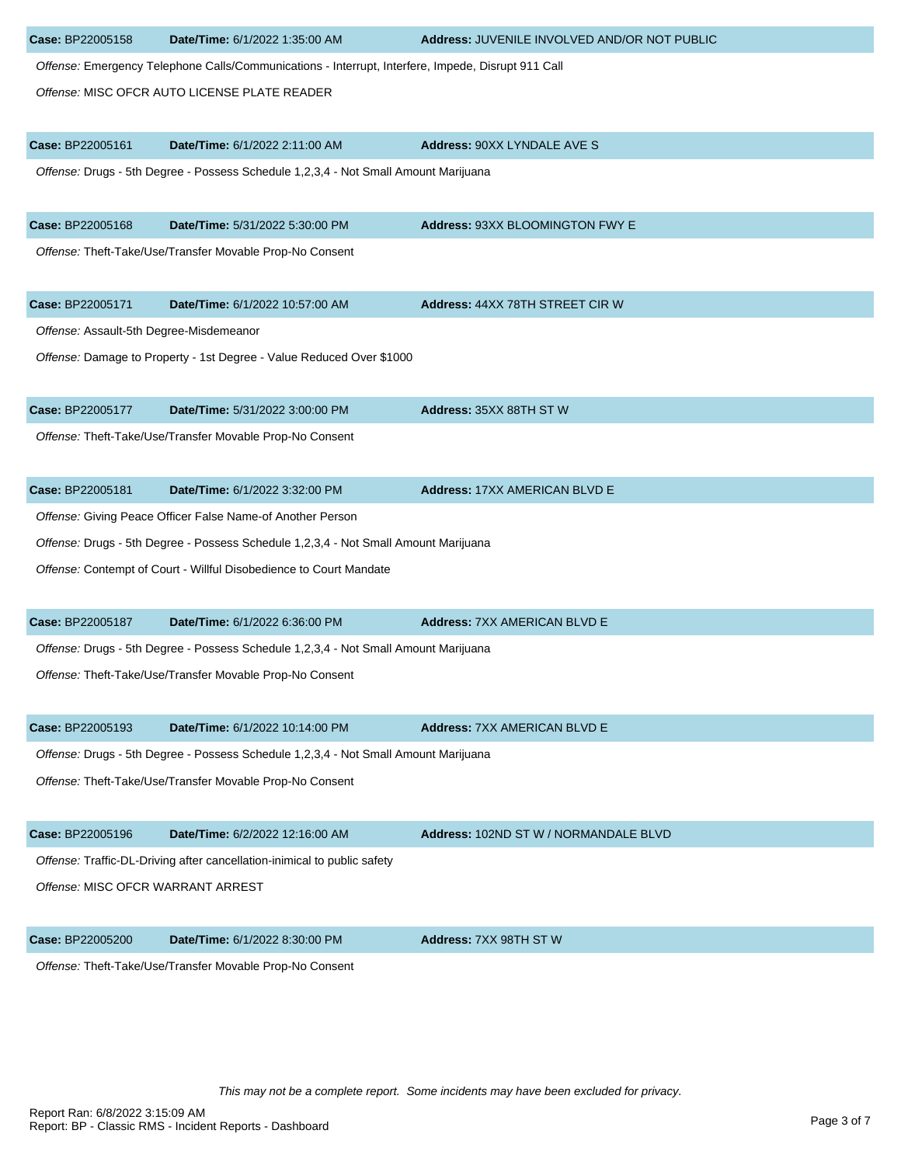| Case: BP22005158                                                                    | Date/Time: 6/1/2022 1:35:00 AM                                                                     | Address: JUVENILE INVOLVED AND/OR NOT PUBLIC |  |
|-------------------------------------------------------------------------------------|----------------------------------------------------------------------------------------------------|----------------------------------------------|--|
|                                                                                     | Offense: Emergency Telephone Calls/Communications - Interrupt, Interfere, Impede, Disrupt 911 Call |                                              |  |
|                                                                                     | Offense: MISC OFCR AUTO LICENSE PLATE READER                                                       |                                              |  |
|                                                                                     |                                                                                                    |                                              |  |
| Case: BP22005161                                                                    | Date/Time: 6/1/2022 2:11:00 AM                                                                     | <b>Address: 90XX LYNDALE AVE S</b>           |  |
|                                                                                     | Offense: Drugs - 5th Degree - Possess Schedule 1,2,3,4 - Not Small Amount Marijuana                |                                              |  |
|                                                                                     |                                                                                                    |                                              |  |
| Case: BP22005168                                                                    | Date/Time: 5/31/2022 5:30:00 PM                                                                    | Address: 93XX BLOOMINGTON FWY E              |  |
|                                                                                     | Offense: Theft-Take/Use/Transfer Movable Prop-No Consent                                           |                                              |  |
| Case: BP22005171                                                                    | Date/Time: 6/1/2022 10:57:00 AM                                                                    | <b>Address: 44XX 78TH STREET CIR W</b>       |  |
| Offense: Assault-5th Degree-Misdemeanor                                             |                                                                                                    |                                              |  |
|                                                                                     | Offense: Damage to Property - 1st Degree - Value Reduced Over \$1000                               |                                              |  |
|                                                                                     |                                                                                                    |                                              |  |
| Case: BP22005177                                                                    | Date/Time: 5/31/2022 3:00:00 PM                                                                    | Address: 35XX 88TH ST W                      |  |
|                                                                                     | Offense: Theft-Take/Use/Transfer Movable Prop-No Consent                                           |                                              |  |
|                                                                                     |                                                                                                    |                                              |  |
| Case: BP22005181                                                                    | Date/Time: 6/1/2022 3:32:00 PM                                                                     | <b>Address: 17XX AMERICAN BLVD E</b>         |  |
|                                                                                     | Offense: Giving Peace Officer False Name-of Another Person                                         |                                              |  |
|                                                                                     | Offense: Drugs - 5th Degree - Possess Schedule 1,2,3,4 - Not Small Amount Marijuana                |                                              |  |
|                                                                                     | Offense: Contempt of Court - Willful Disobedience to Court Mandate                                 |                                              |  |
| Case: BP22005187                                                                    | Date/Time: 6/1/2022 6:36:00 PM                                                                     | <b>Address: 7XX AMERICAN BLVD E</b>          |  |
|                                                                                     | Offense: Drugs - 5th Degree - Possess Schedule 1,2,3,4 - Not Small Amount Marijuana                |                                              |  |
|                                                                                     | Offense: Theft-Take/Use/Transfer Movable Prop-No Consent                                           |                                              |  |
|                                                                                     |                                                                                                    |                                              |  |
| Case: BP22005193                                                                    | Date/Time: 6/1/2022 10:14:00 PM                                                                    | <b>Address: 7XX AMERICAN BLVD E</b>          |  |
| Offense: Drugs - 5th Degree - Possess Schedule 1,2,3,4 - Not Small Amount Marijuana |                                                                                                    |                                              |  |
|                                                                                     | Offense: Theft-Take/Use/Transfer Movable Prop-No Consent                                           |                                              |  |
| Case: BP22005196                                                                    | Date/Time: 6/2/2022 12:16:00 AM                                                                    | Address: 102ND ST W / NORMANDALE BLVD        |  |
|                                                                                     | Offense: Traffic-DL-Driving after cancellation-inimical to public safety                           |                                              |  |
| Offense: MISC OFCR WARRANT ARREST                                                   |                                                                                                    |                                              |  |
|                                                                                     |                                                                                                    |                                              |  |
| Case: BP22005200                                                                    | Date/Time: 6/1/2022 8:30:00 PM                                                                     | Address: 7XX 98TH ST W                       |  |
|                                                                                     | Offense: Theft-Take/Use/Transfer Movable Prop-No Consent                                           |                                              |  |
|                                                                                     |                                                                                                    |                                              |  |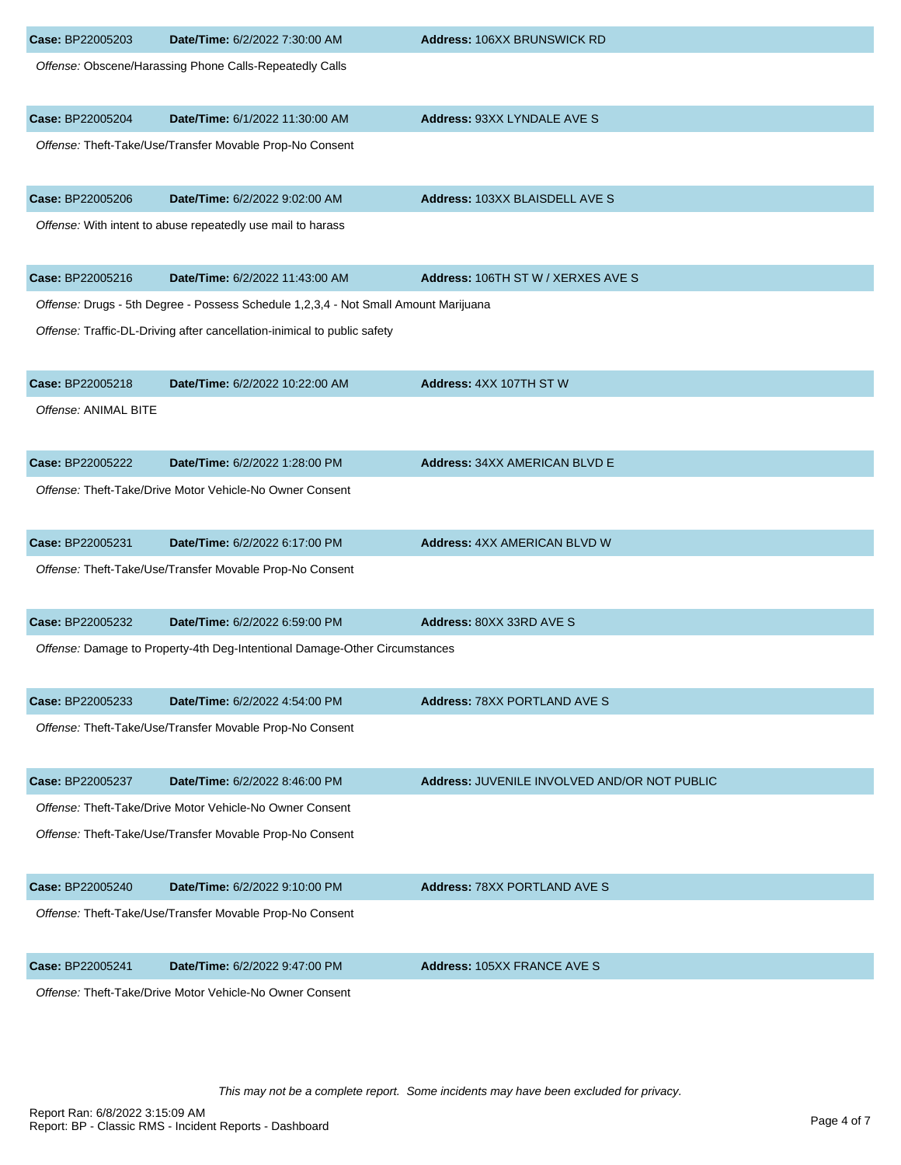| Case: BP22005203     | Date/Time: 6/2/2022 7:30:00 AM                                                      | <b>Address: 106XX BRUNSWICK RD</b>           |
|----------------------|-------------------------------------------------------------------------------------|----------------------------------------------|
|                      | Offense: Obscene/Harassing Phone Calls-Repeatedly Calls                             |                                              |
| Case: BP22005204     | Date/Time: 6/1/2022 11:30:00 AM                                                     | Address: 93XX LYNDALE AVE S                  |
|                      | Offense: Theft-Take/Use/Transfer Movable Prop-No Consent                            |                                              |
| Case: BP22005206     | Date/Time: 6/2/2022 9:02:00 AM                                                      | Address: 103XX BLAISDELL AVE S               |
|                      | Offense: With intent to abuse repeatedly use mail to harass                         |                                              |
| Case: BP22005216     | Date/Time: 6/2/2022 11:43:00 AM                                                     | Address: 106TH ST W / XERXES AVE S           |
|                      | Offense: Drugs - 5th Degree - Possess Schedule 1,2,3,4 - Not Small Amount Marijuana |                                              |
|                      | Offense: Traffic-DL-Driving after cancellation-inimical to public safety            |                                              |
| Case: BP22005218     | Date/Time: 6/2/2022 10:22:00 AM                                                     | Address: 4XX 107TH ST W                      |
| Offense: ANIMAL BITE |                                                                                     |                                              |
| Case: BP22005222     | Date/Time: 6/2/2022 1:28:00 PM                                                      | <b>Address: 34XX AMERICAN BLVD E</b>         |
|                      | Offense: Theft-Take/Drive Motor Vehicle-No Owner Consent                            |                                              |
| Case: BP22005231     | Date/Time: 6/2/2022 6:17:00 PM                                                      | <b>Address: 4XX AMERICAN BLVD W</b>          |
|                      | Offense: Theft-Take/Use/Transfer Movable Prop-No Consent                            |                                              |
| Case: BP22005232     | Date/Time: 6/2/2022 6:59:00 PM                                                      | Address: 80XX 33RD AVE S                     |
|                      | Offense: Damage to Property-4th Deg-Intentional Damage-Other Circumstances          |                                              |
| Case: BP22005233     | Date/Time: 6/2/2022 4:54:00 PM                                                      | <b>Address: 78XX PORTLAND AVE S</b>          |
|                      | Offense: Theft-Take/Use/Transfer Movable Prop-No Consent                            |                                              |
| Case: BP22005237     | Date/Time: 6/2/2022 8:46:00 PM                                                      | Address: JUVENILE INVOLVED AND/OR NOT PUBLIC |
|                      | Offense: Theft-Take/Drive Motor Vehicle-No Owner Consent                            |                                              |
|                      | Offense: Theft-Take/Use/Transfer Movable Prop-No Consent                            |                                              |
| Case: BP22005240     | Date/Time: 6/2/2022 9:10:00 PM                                                      | Address: 78XX PORTLAND AVE S                 |
|                      | Offense: Theft-Take/Use/Transfer Movable Prop-No Consent                            |                                              |
| Case: BP22005241     | Date/Time: 6/2/2022 9:47:00 PM                                                      | <b>Address: 105XX FRANCE AVE S</b>           |
|                      | Offense: Theft-Take/Drive Motor Vehicle-No Owner Consent                            |                                              |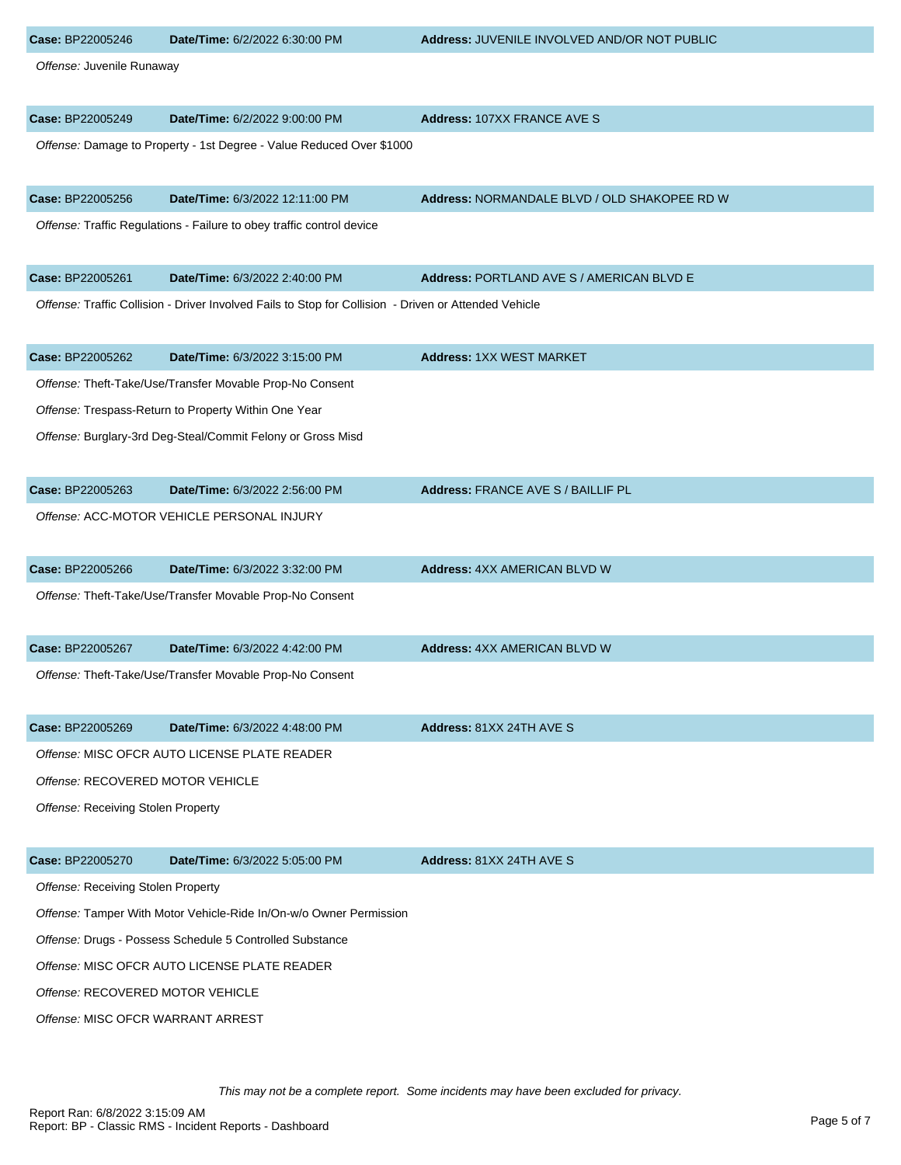| Case: BP22005246                             | Date/Time: 6/2/2022 6:30:00 PM                                                                        | Address: JUVENILE INVOLVED AND/OR NOT PUBLIC |
|----------------------------------------------|-------------------------------------------------------------------------------------------------------|----------------------------------------------|
| Offense: Juvenile Runaway                    |                                                                                                       |                                              |
| Case: BP22005249                             | Date/Time: 6/2/2022 9:00:00 PM                                                                        | Address: 107XX FRANCE AVE S                  |
|                                              | Offense: Damage to Property - 1st Degree - Value Reduced Over \$1000                                  |                                              |
| Case: BP22005256                             | Date/Time: 6/3/2022 12:11:00 PM                                                                       | Address: NORMANDALE BLVD / OLD SHAKOPEE RD W |
|                                              | Offense: Traffic Regulations - Failure to obey traffic control device                                 |                                              |
| Case: BP22005261                             | Date/Time: 6/3/2022 2:40:00 PM                                                                        | Address: PORTLAND AVE S / AMERICAN BLVD E    |
|                                              | Offense: Traffic Collision - Driver Involved Fails to Stop for Collision - Driven or Attended Vehicle |                                              |
| Case: BP22005262                             | Date/Time: 6/3/2022 3:15:00 PM                                                                        | <b>Address: 1XX WEST MARKET</b>              |
|                                              | Offense: Theft-Take/Use/Transfer Movable Prop-No Consent                                              |                                              |
|                                              | Offense: Trespass-Return to Property Within One Year                                                  |                                              |
|                                              | Offense: Burglary-3rd Deg-Steal/Commit Felony or Gross Misd                                           |                                              |
| Case: BP22005263                             | Date/Time: 6/3/2022 2:56:00 PM                                                                        | Address: FRANCE AVE S / BAILLIF PL           |
|                                              | Offense: ACC-MOTOR VEHICLE PERSONAL INJURY                                                            |                                              |
| Case: BP22005266                             | Date/Time: 6/3/2022 3:32:00 PM                                                                        | Address: 4XX AMERICAN BLVD W                 |
|                                              | Offense: Theft-Take/Use/Transfer Movable Prop-No Consent                                              |                                              |
| Case: BP22005267                             | Date/Time: 6/3/2022 4:42:00 PM                                                                        | Address: 4XX AMERICAN BLVD W                 |
|                                              | Offense: Theft-Take/Use/Transfer Movable Prop-No Consent                                              |                                              |
| Case: BP22005269                             | Date/Time: 6/3/2022 4:48:00 PM                                                                        | Address: 81XX 24TH AVE S                     |
|                                              | Offense: MISC OFCR AUTO LICENSE PLATE READER                                                          |                                              |
| Offense: RECOVERED MOTOR VEHICLE             |                                                                                                       |                                              |
| Offense: Receiving Stolen Property           |                                                                                                       |                                              |
| Case: BP22005270                             | Date/Time: 6/3/2022 5:05:00 PM                                                                        | Address: 81XX 24TH AVE S                     |
| Offense: Receiving Stolen Property           |                                                                                                       |                                              |
|                                              | Offense: Tamper With Motor Vehicle-Ride In/On-w/o Owner Permission                                    |                                              |
|                                              | Offense: Drugs - Possess Schedule 5 Controlled Substance                                              |                                              |
| Offense: MISC OFCR AUTO LICENSE PLATE READER |                                                                                                       |                                              |
| Offense: RECOVERED MOTOR VEHICLE             |                                                                                                       |                                              |
| Offense: MISC OFCR WARRANT ARREST            |                                                                                                       |                                              |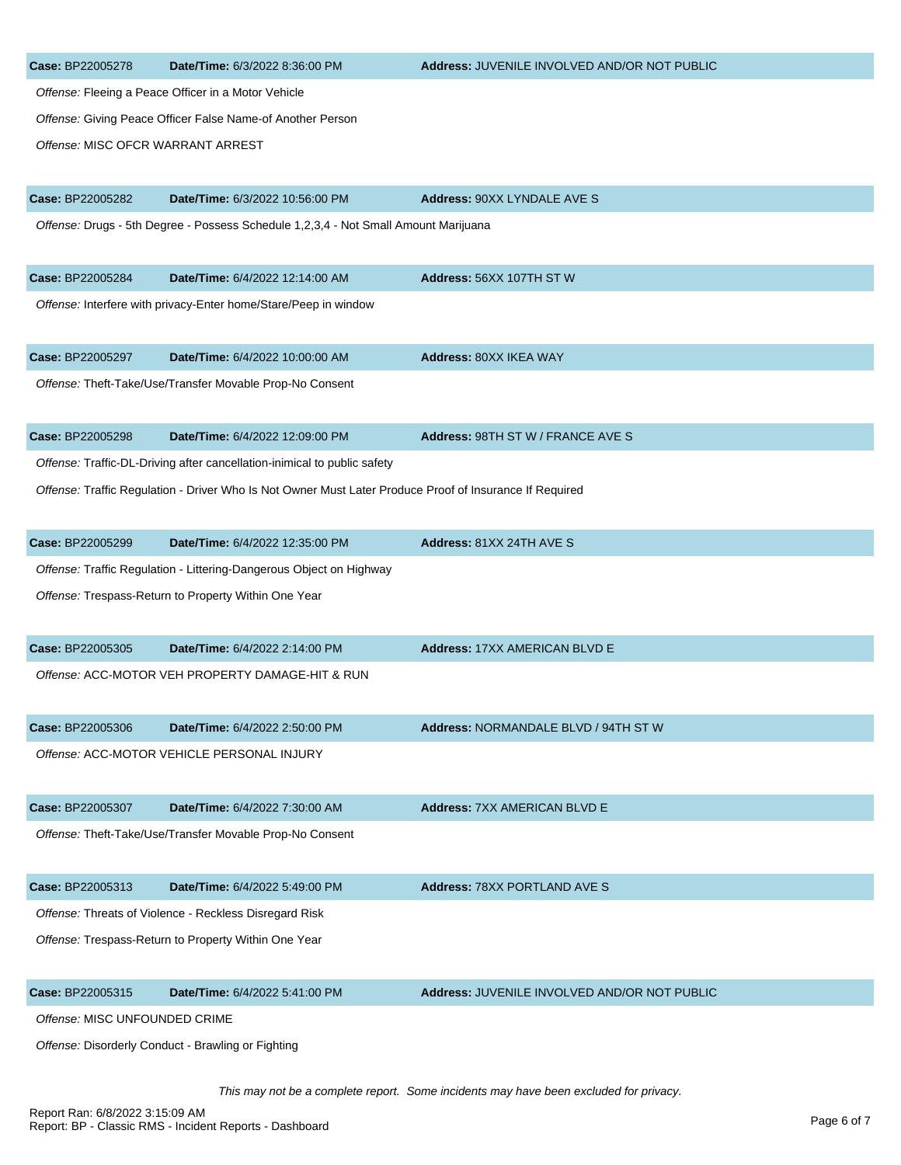| Case: BP22005278                  | Date/Time: 6/3/2022 8:36:00 PM                                                                          | Address: JUVENILE INVOLVED AND/OR NOT PUBLIC |
|-----------------------------------|---------------------------------------------------------------------------------------------------------|----------------------------------------------|
|                                   | Offense: Fleeing a Peace Officer in a Motor Vehicle                                                     |                                              |
|                                   | Offense: Giving Peace Officer False Name-of Another Person                                              |                                              |
| Offense: MISC OFCR WARRANT ARREST |                                                                                                         |                                              |
| Case: BP22005282                  | Date/Time: 6/3/2022 10:56:00 PM                                                                         | <b>Address: 90XX LYNDALE AVE S</b>           |
|                                   | Offense: Drugs - 5th Degree - Possess Schedule 1,2,3,4 - Not Small Amount Marijuana                     |                                              |
| Case: BP22005284                  | Date/Time: 6/4/2022 12:14:00 AM                                                                         | Address: 56XX 107TH ST W                     |
|                                   | Offense: Interfere with privacy-Enter home/Stare/Peep in window                                         |                                              |
| Case: BP22005297                  | Date/Time: 6/4/2022 10:00:00 AM                                                                         | Address: 80XX IKEA WAY                       |
|                                   | Offense: Theft-Take/Use/Transfer Movable Prop-No Consent                                                |                                              |
| Case: BP22005298                  | Date/Time: 6/4/2022 12:09:00 PM                                                                         | <b>Address: 98TH ST W / FRANCE AVE S</b>     |
|                                   | Offense: Traffic-DL-Driving after cancellation-inimical to public safety                                |                                              |
|                                   | Offense: Traffic Regulation - Driver Who Is Not Owner Must Later Produce Proof of Insurance If Required |                                              |
| Case: BP22005299                  | Date/Time: 6/4/2022 12:35:00 PM                                                                         | Address: 81XX 24TH AVE S                     |
|                                   | Offense: Traffic Regulation - Littering-Dangerous Object on Highway                                     |                                              |
|                                   | Offense: Trespass-Return to Property Within One Year                                                    |                                              |
| Case: BP22005305                  | Date/Time: 6/4/2022 2:14:00 PM                                                                          | <b>Address: 17XX AMERICAN BLVD E</b>         |
|                                   | Offense: ACC-MOTOR VEH PROPERTY DAMAGE-HIT & RUN                                                        |                                              |
| Case: BP22005306                  | Date/Time: 6/4/2022 2:50:00 PM                                                                          | Address: NORMANDALE BLVD / 94TH ST W         |
|                                   | Offense: ACC-MOTOR VEHICLE PERSONAL INJURY                                                              |                                              |
| Case: BP22005307                  | Date/Time: 6/4/2022 7:30:00 AM                                                                          | <b>Address: 7XX AMERICAN BLVD E</b>          |
|                                   | Offense: Theft-Take/Use/Transfer Movable Prop-No Consent                                                |                                              |
| Case: BP22005313                  | Date/Time: 6/4/2022 5:49:00 PM                                                                          | <b>Address: 78XX PORTLAND AVE S</b>          |
|                                   | Offense: Threats of Violence - Reckless Disregard Risk                                                  |                                              |
|                                   | Offense: Trespass-Return to Property Within One Year                                                    |                                              |
| Case: BP22005315                  | Date/Time: 6/4/2022 5:41:00 PM                                                                          | Address: JUVENILE INVOLVED AND/OR NOT PUBLIC |
| Offense: MISC UNFOUNDED CRIME     |                                                                                                         |                                              |
|                                   | Offense: Disorderly Conduct - Brawling or Fighting                                                      |                                              |